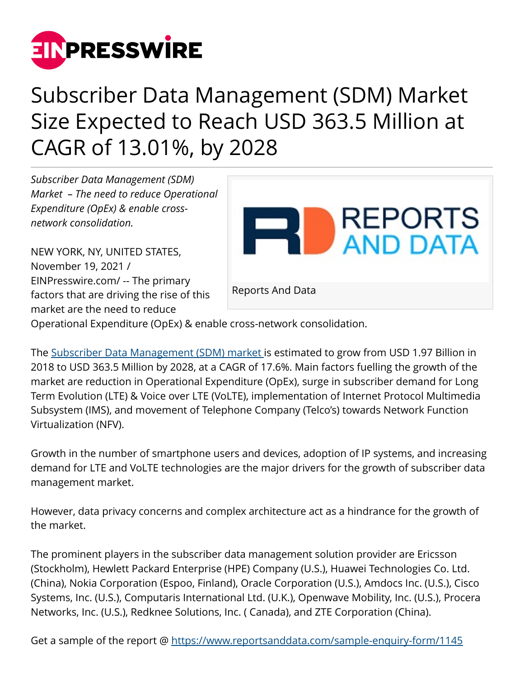

## Subscriber Data Management (SDM) Market Size Expected to Reach USD 363.5 Million at CAGR of 13.01%, by 2028

*Subscriber Data Management (SDM) Market – The need to reduce Operational Expenditure (OpEx) & enable crossnetwork consolidation.*

NEW YORK, NY, UNITED STATES, November 19, 2021 / [EINPresswire.com](http://www.einpresswire.com)/ -- The primary factors that are driving the rise of this market are the need to reduce



Operational Expenditure (OpEx) & enable cross-network consolidation.

The [Subscriber Data Management \(SDM\) market i](https://www.reportsanddata.com/report-detail/subscriber-data-management-market)s estimated to grow from USD 1.97 Billion in 2018 to USD 363.5 Million by 2028, at a CAGR of 17.6%. Main factors fuelling the growth of the market are reduction in Operational Expenditure (OpEx), surge in subscriber demand for Long Term Evolution (LTE) & Voice over LTE (VoLTE), implementation of Internet Protocol Multimedia Subsystem (IMS), and movement of Telephone Company (Telco's) towards Network Function Virtualization (NFV).

Growth in the number of smartphone users and devices, adoption of IP systems, and increasing demand for LTE and VoLTE technologies are the major drivers for the growth of subscriber data management market.

However, data privacy concerns and complex architecture act as a hindrance for the growth of the market.

The prominent players in the subscriber data management solution provider are Ericsson (Stockholm), Hewlett Packard Enterprise (HPE) Company (U.S.), Huawei Technologies Co. Ltd. (China), Nokia Corporation (Espoo, Finland), Oracle Corporation (U.S.), Amdocs Inc. (U.S.), Cisco Systems, Inc. (U.S.), Computaris International Ltd. (U.K.), Openwave Mobility, Inc. (U.S.), Procera Networks, Inc. (U.S.), Redknee Solutions, Inc. ( Canada), and ZTE Corporation (China).

Get a sample of the report @<https://www.reportsanddata.com/sample-enquiry-form/1145>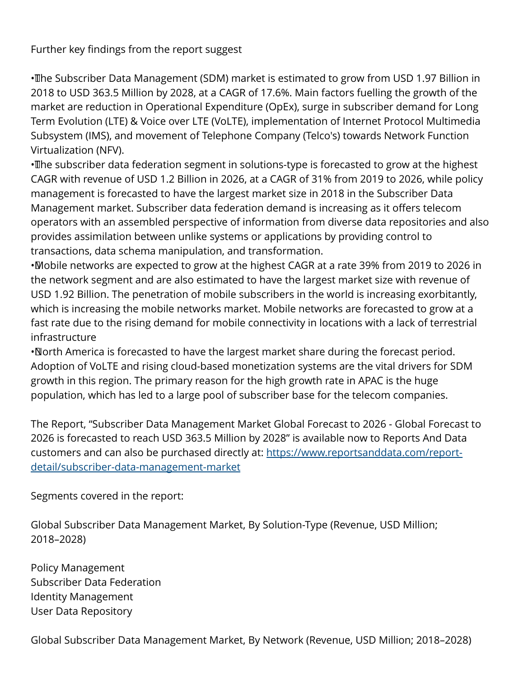## Further key findings from the report suggest

• The Subscriber Data Management (SDM) market is estimated to grow from USD 1.97 Billion in 2018 to USD 363.5 Million by 2028, at a CAGR of 17.6%. Main factors fuelling the growth of the market are reduction in Operational Expenditure (OpEx), surge in subscriber demand for Long Term Evolution (LTE) & Voice over LTE (VoLTE), implementation of Internet Protocol Multimedia Subsystem (IMS), and movement of Telephone Company (Telco's) towards Network Function Virtualization (NFV).

• The subscriber data federation segment in solutions-type is forecasted to grow at the highest CAGR with revenue of USD 1.2 Billion in 2026, at a CAGR of 31% from 2019 to 2026, while policy management is forecasted to have the largest market size in 2018 in the Subscriber Data Management market. Subscriber data federation demand is increasing as it offers telecom operators with an assembled perspective of information from diverse data repositories and also provides assimilation between unlike systems or applications by providing control to transactions, data schema manipulation, and transformation.

• Mobile networks are expected to grow at the highest CAGR at a rate 39% from 2019 to 2026 in the network segment and are also estimated to have the largest market size with revenue of USD 1.92 Billion. The penetration of mobile subscribers in the world is increasing exorbitantly, which is increasing the mobile networks market. Mobile networks are forecasted to grow at a fast rate due to the rising demand for mobile connectivity in locations with a lack of terrestrial infrastructure

• North America is forecasted to have the largest market share during the forecast period. Adoption of VoLTE and rising cloud-based monetization systems are the vital drivers for SDM growth in this region. The primary reason for the high growth rate in APAC is the huge population, which has led to a large pool of subscriber base for the telecom companies.

The Report, "Subscriber Data Management Market Global Forecast to 2026 - Global Forecast to 2026 is forecasted to reach USD 363.5 Million by 2028" is available now to Reports And Data customers and can also be purchased directly at: [https://www.reportsanddata.com/report](https://www.reportsanddata.com/report-detail/subscriber-data-management-market)[detail/subscriber-data-management-market](https://www.reportsanddata.com/report-detail/subscriber-data-management-market)

Segments covered in the report:

Global Subscriber Data Management Market, By Solution-Type (Revenue, USD Million; 2018–2028)

Policy Management Subscriber Data Federation Identity Management User Data Repository

Global Subscriber Data Management Market, By Network (Revenue, USD Million; 2018–2028)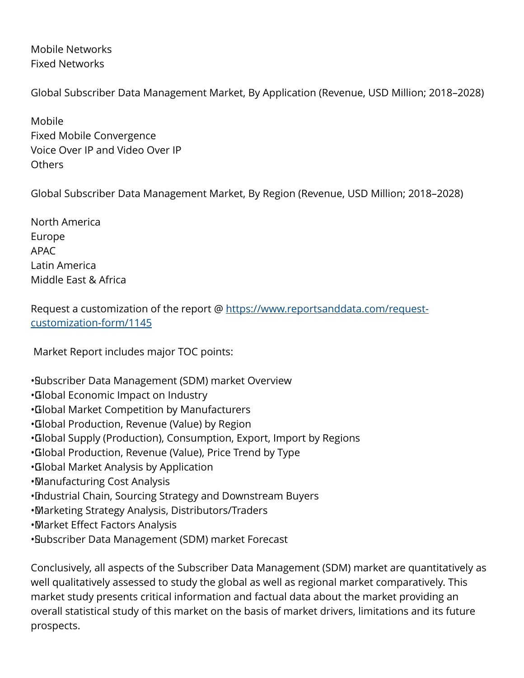Mobile Networks Fixed Networks

Global Subscriber Data Management Market, By Application (Revenue, USD Million; 2018–2028)

Mobile Fixed Mobile Convergence Voice Over IP and Video Over IP Others

Global Subscriber Data Management Market, By Region (Revenue, USD Million; 2018–2028)

North America Europe APAC Latin America Middle East & Africa

Request a customization of the report @ [https://www.reportsanddata.com/request](https://www.reportsanddata.com/request-customization-form/1145)[customization-form/1145](https://www.reportsanddata.com/request-customization-form/1145)

Market Report includes major TOC points:

- • Subscriber Data Management (SDM) market Overview
- • Global Economic Impact on Industry
- • Global Market Competition by Manufacturers
- • Global Production, Revenue (Value) by Region
- • Global Supply (Production), Consumption, Export, Import by Regions
- • Global Production, Revenue (Value), Price Trend by Type
- • Global Market Analysis by Application
- • Manufacturing Cost Analysis
- • Industrial Chain, Sourcing Strategy and Downstream Buyers
- • Marketing Strategy Analysis, Distributors/Traders
- • Market Effect Factors Analysis
- • Subscriber Data Management (SDM) market Forecast

Conclusively, all aspects of the Subscriber Data Management (SDM) market are quantitatively as well qualitatively assessed to study the global as well as regional market comparatively. This market study presents critical information and factual data about the market providing an overall statistical study of this market on the basis of market drivers, limitations and its future prospects.